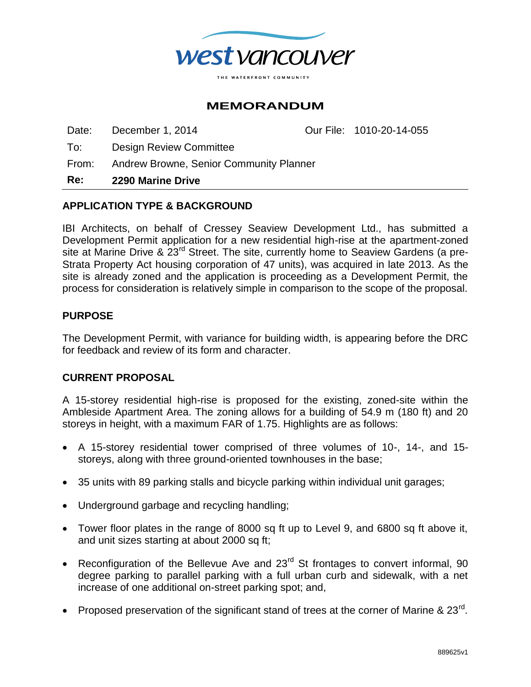

# **MEMORANDUM**

Date: December 1, 2014 Our File: 1010-20-14-055

To: Design Review Committee

From: Andrew Browne, Senior Community Planner

**Re: 2290 Marine Drive**

## **APPLICATION TYPE & BACKGROUND**

IBI Architects, on behalf of Cressey Seaview Development Ltd., has submitted a Development Permit application for a new residential high-rise at the apartment-zoned site at Marine Drive & 23<sup>rd</sup> Street. The site, currently home to Seaview Gardens (a pre-Strata Property Act housing corporation of 47 units), was acquired in late 2013. As the site is already zoned and the application is proceeding as a Development Permit, the process for consideration is relatively simple in comparison to the scope of the proposal.

#### **PURPOSE**

The Development Permit, with variance for building width, is appearing before the DRC for feedback and review of its form and character.

## **CURRENT PROPOSAL**

A 15-storey residential high-rise is proposed for the existing, zoned-site within the Ambleside Apartment Area. The zoning allows for a building of 54.9 m (180 ft) and 20 storeys in height, with a maximum FAR of 1.75. Highlights are as follows:

- A 15-storey residential tower comprised of three volumes of 10-, 14-, and 15 storeys, along with three ground-oriented townhouses in the base;
- 35 units with 89 parking stalls and bicycle parking within individual unit garages;
- Underground garbage and recycling handling;
- Tower floor plates in the range of 8000 sq ft up to Level 9, and 6800 sq ft above it, and unit sizes starting at about 2000 sq ft:
- Reconfiguration of the Bellevue Ave and 23<sup>rd</sup> St frontages to convert informal, 90 degree parking to parallel parking with a full urban curb and sidewalk, with a net increase of one additional on-street parking spot; and,
- Proposed preservation of the significant stand of trees at the corner of Marine & 23 $^{\text{rd}}$ .